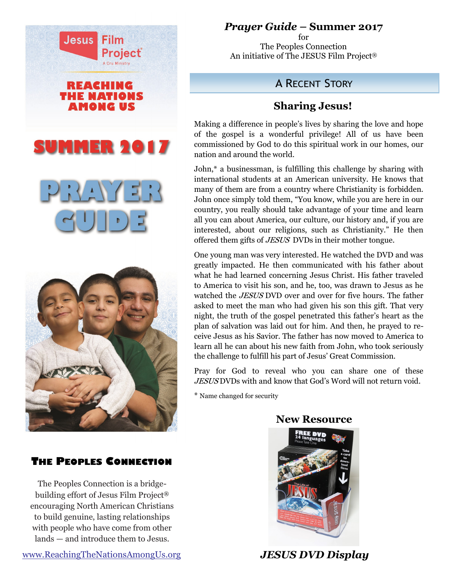

## *Prayer Guide* **– Summer 2017**

for The Peoples Connection An initiative of The JESUS Film Project®

## A RECENT STORY

## **Sharing Jesus!**

Making a difference in people's lives by sharing the love and hope of the gospel is a wonderful privilege! All of us have been commissioned by God to do this spiritual work in our homes, our nation and around the world.

John,\* a businessman, is fulfilling this challenge by sharing with international students at an American university. He knows that many of them are from a country where Christianity is forbidden. John once simply told them, "You know, while you are here in our country, you really should take advantage of your time and learn all you can about America, our culture, our history and, if you are interested, about our religions, such as Christianity." He then offered them gifts of JESUS DVDs in their mother tongue.

One young man was very interested. He watched the DVD and was greatly impacted. He then communicated with his father about what he had learned concerning Jesus Christ. His father traveled to America to visit his son, and he, too, was drawn to Jesus as he watched the *JESUS* DVD over and over for five hours. The father asked to meet the man who had given his son this gift. That very night, the truth of the gospel penetrated this father's heart as the plan of salvation was laid out for him. And then, he prayed to receive Jesus as his Savior. The father has now moved to America to learn all he can about his new faith from John, who took seriously the challenge to fulfill his part of Jesus' Great Commission.

Pray for God to reveal who you can share one of these JESUS DVDs with and know that God's Word will not return void.

\* Name changed for security

 **New Resource**

## **THE PEOPLES CONNECTION**

The Peoples Connection is a bridgebuilding effort of Jesus Film Project® encouraging North American Christians to build genuine, lasting relationships with people who have come from other lands — and introduce them to Jesus.





 *JESUS DVD Display*